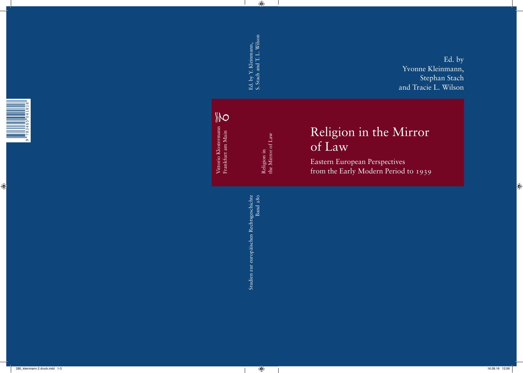Ed. by Yvonne Kleinmann, Stephan Stach and Tracie L. Wilson

### Religion in the Mirror of Law

Eastern European Perspectives from the Early Modern Period to 1939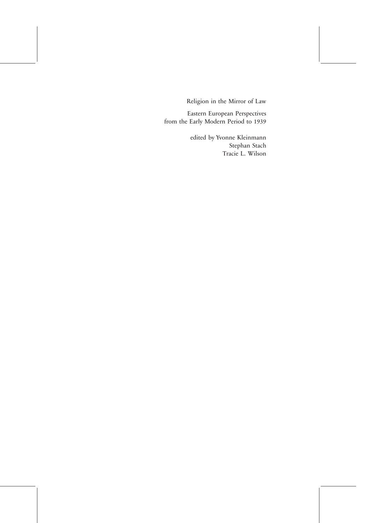Religion in the Mirror of Law<br>Eastern European Perspectives from the Early Modern Period to 1939

> edited by Yvonne Kleinmann Stephan Stach Tracie L. Wilson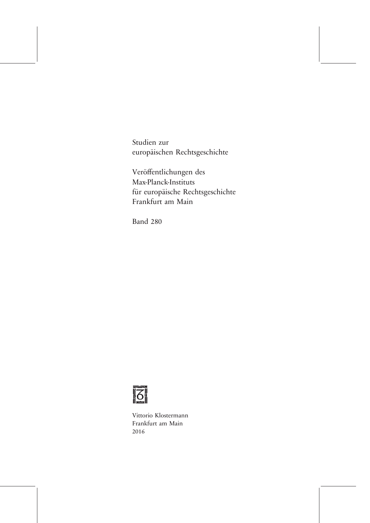europäischen Rechtsgeschichte

Veröffentlichungen des für europäische Rechtsgeschichte<br>Frankfurt am Main Frankfurt am Main



Vittorio Klostermann<br>Frankfurt am Main  $2016$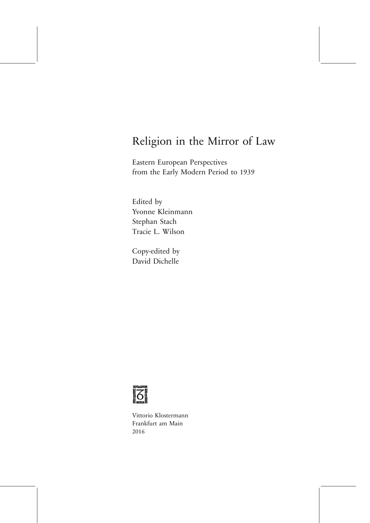# Religion in the Mirror of Law<br>Eastern European Perspectives

from the Early Modern Period to 1939 from the Early Modern Period to 1939

Edited by<br>Yvonne Kleinmann Stephan Stach Tracie L. Wilson Tracie L. Wilson

Copy-edited by



Vittorio Klostermann  $2016$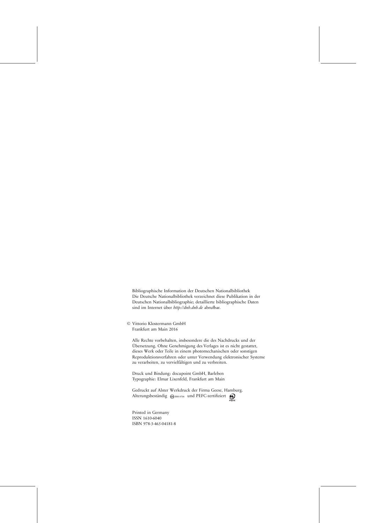Bibliographische Information der Deutschen Nationalbibliothek Deutschen Nationalbibliographie; detaillierte bibliographische Daten sind im Internet über *http://dnb.dnb.de* abrufbar.

© Vittorio Klostermann GmbH Frankfurt am Main 2016

Alle Rechte vorbehalten, insbesondere die des Nachdrucks und der Übersetzung. Ohne Genehmigung des Verlages ist es nicht gestattet dieses Werk oder Teile in einem photomechanischen oder sonstigen Reproduktionsverfahren oder unter Verwendung elektronischer Systeme zu verarbeiten, zu vervielfältigen und zu verbreiten.

Typographie: Elmar Lixenfeld, Frankfurt am Mair  $T_1 - \sigma - 1$ 

Alterungsbeständig  $\bigotimes_{{\bf 1} \text{SO 9706}}$  und PEFC-zertifiziert  $\bigotimes_{{\bf 2} \text{EFC}}$ 

Printed in Germany<br>ISSN 1610-6040 ISBN 978-3-465-04181-8 ISBN 978-3-465-04181-8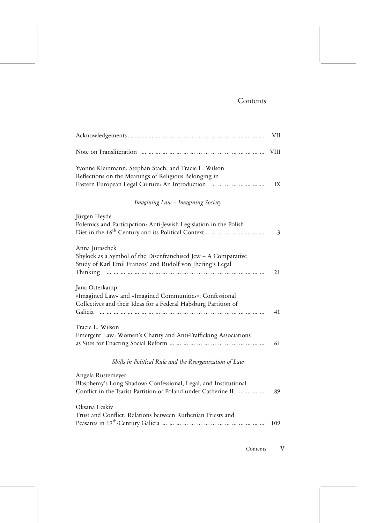#### Contents

|                                                                                                                                                                                                                                        | <b>VII</b>     |
|----------------------------------------------------------------------------------------------------------------------------------------------------------------------------------------------------------------------------------------|----------------|
|                                                                                                                                                                                                                                        |                |
| Yvonne Kleinmann, Stephan Stach, and Tracie L. Wilson<br>Reflections on the Meanings of Religious Belonging in<br>Eastern European Legal Culture: An Introduction                                                                      | IX             |
| Imagining Law - Imagining Society                                                                                                                                                                                                      |                |
| Jürgen Heyde<br>Polemics and Participation: Anti-Jewish Legislation in the Polish<br>Diet in the 16 <sup>th</sup> Century and its Political Context                                                                                    | $\mathfrak{Z}$ |
| Anna Juraschek<br>Shylock as a Symbol of the Disenfranchised Jew $-$ A Comparative<br>Study of Karl Emil Franzos' and Rudolf von Jhering's Legal<br>Thinking www.www.www.www.ww.ww.ww.ww.ww.ww.w                                       | 21             |
| Jana Osterkamp<br>»Imagined Law« and »Imagined Communities«: Confessional<br>Collectives and their Ideas for a Federal Habsburg Partition of<br>Galicia <i>a manistrativa de la manistrativa de la manistrativa de la manistrativa</i> | 41             |
| Tracie L. Wilson<br>Emergent Law: Women's Charity and Anti-Trafficking Associations                                                                                                                                                    | 61             |
| Shifts in Political Rule and the Reorganization of Law                                                                                                                                                                                 |                |
| Angela Rustemeyer<br>Blasphemy's Long Shadow: Confessional, Legal, and Institutional<br>Conflict in the Tsarist Partition of Poland under Catherine II                                                                                 | 89             |
| Oksana Leskiv<br>Trust and Conflict: Relations between Ruthenian Priests and                                                                                                                                                           | 109            |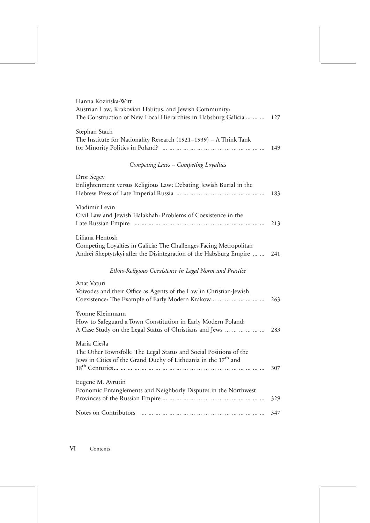| Hanna Kozińska-Witt<br>Austrian Law, Krakovian Habitus, and Jewish Community:<br>The Construction of New Local Hierarchies in Habsburg Galicia                  | 127 |
|-----------------------------------------------------------------------------------------------------------------------------------------------------------------|-----|
| Stephan Stach<br>The Institute for Nationality Research (1921-1939) - A Think Tank                                                                              | 149 |
| Competing Laws - Competing Loyalties                                                                                                                            |     |
| Dror Segev<br>Enlightenment versus Religious Law: Debating Jewish Burial in the                                                                                 | 183 |
| Vladimir Levin<br>Civil Law and Jewish Halakhah: Problems of Coexistence in the                                                                                 | 213 |
| Liliana Hentosh<br>Competing Loyalties in Galicia: The Challenges Facing Metropolitan<br>Andrei Sheptytskyi after the Disintegration of the Habsburg Empire     | 241 |
| Ethno-Religious Coexistence in Legal Norm and Practice                                                                                                          |     |
| Anat Vaturi<br>Voivodes and their Office as Agents of the Law in Christian-Jewish<br>Coexistence: The Example of Early Modern Krakow                            | 263 |
| Yvonne Kleinmann<br>How to Safeguard a Town Constitution in Early Modern Poland:<br>A Case Study on the Legal Status of Christians and Jews                     | 283 |
| Maria Cieśla<br>The Other Townsfolk: The Legal Status and Social Positions of the<br>Jews in Cities of the Grand Duchy of Lithuania in the 17 <sup>th</sup> and | 307 |
| Eugene M. Avrutin<br>Economic Entanglements and Neighborly Disputes in the Northwest                                                                            | 329 |
| Notes on Contributors                                                                                                                                           | 347 |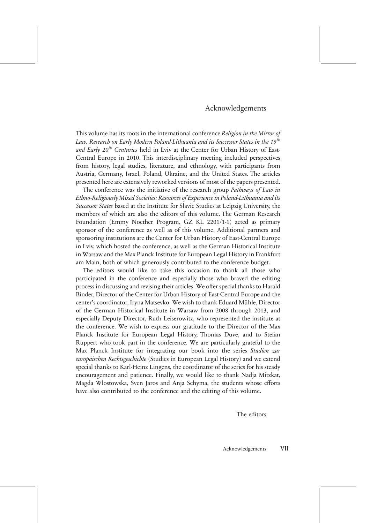## $\overline{c}$

This volume has its roots in the international conference *Religion in the Mirror of Law. Research on Early Modern Poland-Lithuania and its Successor States in the 19th* and Early 20<sup>th</sup> Centuries held in Lviv at the Center for Urban History of East-Central Europe in 2010. This interdisciplinary meeting included perspectives from history, legal studies, literature, and ethnology, with participants from Austria, Germany, Israel, Poland, Ukraine, and the United States. The articles presented here are extensively reworked versions of most of the papers presented.

The conference was the initiative of the research group Pathways of Law in The conference was the initiative of the research group *Pathways of Law in Ethno-Religiously Mixed Societies: Resources of Experience in Poland-Lithuania and its Successor States* based at the Institute for Slavic Studies at Leipzig University, the members of which are also the editors of this volume. The German Research Foundation (Emmy Noether Program, GZ KL 2201/1-1) acted as primary sponsor of the conference as well as of this volume. Additional partners and sponsoring institutions are the Center for Urban History of East-Central Europe. in Lyiv, which hosted the conference, as well as the German Historical Institute in Warsaw and the Max Planck Institute for European Legal History in Frankfurt am Main, both of which generously contributed to the conference budget.

The editors would like to take this occasion to thank all those who participated in the conference and especially those who braved the editing process in discussing and revising their articles. We offer special thanks to Harald Binder, Director of the Center for Urban History of East-Central Europe and the center's coordinator, Iryna Matsevko. We wish to thank Eduard Mühle, Director of the German Historical Institute in Warsaw from 2008 through 2013, and especially Deputy Director, Ruth Leiserowitz, who represented the institute at the conference. We wish to express our gratitude to the Director of the Max Planck Institute for European Legal History, Thomas Duve, and to Stefan Ruppert who took part in the conference. We are particularly grateful to the Max Planck Institute for integrating our book into the series Studien zur Max Planck Institute for integrating our book into the series *Studien zur europäischen Rechtsgeschichte*special thanks to Karl-Heinz Lingens, the coordinator of the series for his steady encouragement and patience. Finally, we would like to thank Nadja Mitzkat, Magda Wlostowska, Sven Jaros and Anja Schyma, the students whose efforts have also contributed to the conference and the editing of this volume.  $\frac{1}{\sigma}$ 

The editors